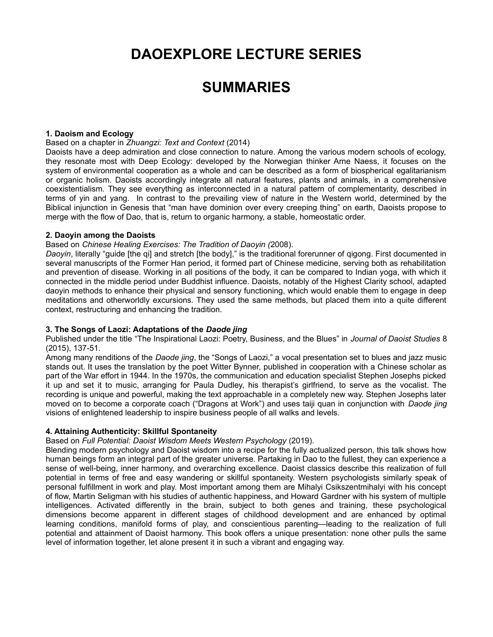# **DAOEXPLORE LECTURE SERIES**

# **SUMMARIES**

# **1. Daoism and Ecology**

#### Based on a chapter in *Zhuangzi: Text and Context* (2014)

Daoists have a deep admiration and close connection to nature. Among the various modern schools of ecology, they resonate most with Deep Ecology: developed by the Norwegian thinker Arne Naess, it focuses on the system of environmental cooperation as a whole and can be described as a form of biospherical egalitarianism or organic holism. Daoists accordingly integrate all natural features, plants and animals, in a comprehensive coexistentialism. They see everything as interconnected in a natural pattern of complementarity, described in terms of yin and yang. In contrast to the prevailing view of nature in the Western world, determined by the Biblical injunction in Genesis that "man have dominion over every creeping thing" on earth, Daoists propose to merge with the flow of Dao, that is, return to organic harmony, a stable, homeostatic order.

#### **2. Daoyin among the Daoists**

#### Based on *Chinese Healing Exercises: The Tradition of Daoyin (*2008).

*Daoyin*, literally "guide [the qi] and stretch [the body]," is the traditional forerunner of qigong. First documented in several manuscripts of the Former Han period, it formed part of Chinese medicine, serving both as rehabilitation and prevention of disease. Working in all positions of the body, it can be compared to Indian yoga, with which it connected in the middle period under Buddhist influence. Daoists, notably of the Highest Clarity school, adapted daoyin methods to enhance their physical and sensory functioning, which would enable them to engage in deep meditations and otherworldly excursions. They used the same methods, but placed them into a quite different context, restructuring and enhancing the tradition.

# **3. The Songs of Laozi: Adaptations of the** *Daode jing*

Published under the title "The Inspirational Laozi: Poetry, Business, and the Blues" in *Journal of Daoist Studies* 8 (2015), 137-51*.* 

Among many renditions of the *Daode jing*, the "Songs of Laozi," a vocal presentation set to blues and jazz music stands out. It uses the translation by the poet Witter Bynner, published in cooperation with a Chinese scholar as part of the War effort in 1944. In the 1970s, the communication and education specialist Stephen Josephs picked it up and set it to music, arranging for Paula Dudley, his therapist's girlfriend, to serve as the vocalist. The recording is unique and powerful, making the text approachable in a completely new way. Stephen Josephs later moved on to become a corporate coach ("Dragons at Work") and uses taiji quan in conjunction with *Daode jing* visions of enlightened leadership to inspire business people of all walks and levels.

# **4. Attaining Authenticity: Skillful Spontaneity**

# Based on *Full Potential: Daoist Wisdom Meets Western Psychology* (2019).

Blending modern psychology and Daoist wisdom into a recipe for the fully actualized person, this talk shows how human beings form an integral part of the greater universe. Partaking in Dao to the fullest, they can experience a sense of well-being, inner harmony, and overarching excellence. Daoist classics describe this realization of full potential in terms of free and easy wandering or skillful spontaneity. Western psychologists similarly speak of personal fulfillment in work and play. Most important among them are Mihalyi Csikszentmihalyi with his concept of flow, Martin Seligman with his studies of authentic happiness, and Howard Gardner with his system of multiple intelligences. Activated differently in the brain, subject to both genes and training, these psychological dimensions become apparent in different stages of childhood development and are enhanced by optimal learning conditions, manifold forms of play, and conscientious parenting—leading to the realization of full potential and attainment of Daoist harmony. This book offers a unique presentation: none other pulls the same level of information together, let alone present it in such a vibrant and engaging way.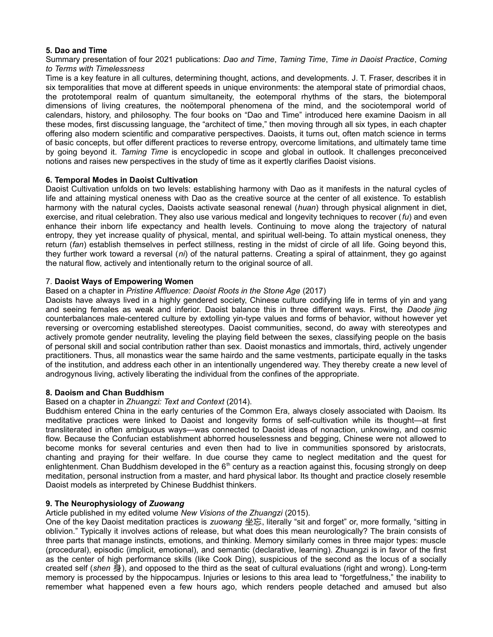# **5. Dao and Time**

Summary presentation of four 2021 publications: *Dao and Time*, *Taming Time*, *Time in Daoist Practice*, *Coming to Terms with Timelessness*

Time is a key feature in all cultures, determining thought, actions, and developments. J. T. Fraser, describes it in six temporalities that move at different speeds in unique environments: the atemporal state of primordial chaos, the prototemporal realm of quantum simultaneity, the eotemporal rhythms of the stars, the biotemporal dimensions of living creatures, the noötemporal phenomena of the mind, and the sociotemporal world of calendars, history, and philosophy. The four books on "Dao and Time" introduced here examine Daoism in all these modes, first discussing language, the "architect of time," then moving through all six types, in each chapter offering also modern scientific and comparative perspectives. Daoists, it turns out, often match science in terms of basic concepts, but offer different practices to reverse entropy, overcome limitations, and ultimately tame time by going beyond it. *Taming Time* is encyclopedic in scope and global in outlook. It challenges preconceived notions and raises new perspectives in the study of time as it expertly clarifies Daoist visions.

# **6. Temporal Modes in Daoist Cultivation**

Daoist Cultivation unfolds on two levels: establishing harmony with Dao as it manifests in the natural cycles of life and attaining mystical oneness with Dao as the creative source at the center of all existence. To establish harmony with the natural cycles, Daoists activate seasonal renewal (*huan*) through physical alignment in diet, exercise, and ritual celebration. They also use various medical and longevity techniques to recover (*fu*) and even enhance their inborn life expectancy and health levels. Continuing to move along the trajectory of natural entropy, they yet increase quality of physical, mental, and spiritual well-being. To attain mystical oneness, they return (*fan*) establish themselves in perfect stillness, resting in the midst of circle of all life. Going beyond this, they further work toward a reversal (*ni*) of the natural patterns. Creating a spiral of attainment, they go against the natural flow, actively and intentionally return to the original source of all.

# 7. **Daoist Ways of Empowering Women**

# Based on a chapter in *Pristine Affluence: Daoist Roots in the Stone Age* (2017)

Daoists have always lived in a highly gendered society, Chinese culture codifying life in terms of yin and yang and seeing females as weak and inferior. Daoist balance this in three different ways. First, the *Daode jing* counterbalances male-centered culture by extolling yin-type values and forms of behavior, without however yet reversing or overcoming established stereotypes. Daoist communities, second, do away with stereotypes and actively promote gender neutrality, leveling the playing field between the sexes, classifying people on the basis of personal skill and social contribution rather than sex. Daoist monastics and immortals, third, actively ungender practitioners. Thus, all monastics wear the same hairdo and the same vestments, participate equally in the tasks of the institution, and address each other in an intentionally ungendered way. They thereby create a new level of androgynous living, actively liberating the individual from the confines of the appropriate.

# **8. Daoism and Chan Buddhism**

# Based on a chapter in *Zhuangzi: Text and Context* (2014).

Buddhism entered China in the early centuries of the Common Era, always closely associated with Daoism. Its meditative practices were linked to Daoist and longevity forms of self-cultivation while its thought—at first transliterated in often ambiguous ways—was connected to Daoist ideas of nonaction, unknowing, and cosmic flow. Because the Confucian establishment abhorred houselessness and begging, Chinese were not allowed to become monks for several centuries and even then had to live in communities sponsored by aristocrats, chanting and praying for their welfare. In due course they came to neglect meditation and the quest for enlightenment. Chan Buddhism developed in the  $6<sup>th</sup>$  century as a reaction against this, focusing strongly on deep meditation, personal instruction from a master, and hard physical labor. Its thought and practice closely resemble Daoist models as interpreted by Chinese Buddhist thinkers.

# **9. The Neurophysiology of** *Zuowang*

# Article published in my edited volume *New Visions of the Zhuangzi* (2015).

One of the key Daoist meditation practices is *zuowang* 坐忘, literally "sit and forget" or, more formally, "sitting in oblivion." Typically it involves actions of release, but what does this mean neurologically? The brain consists of three parts that manage instincts, emotions, and thinking. Memory similarly comes in three major types: muscle (procedural), episodic (implicit, emotional), and semantic (declarative, learning). Zhuangzi is in favor of the first as the center of high performance skills (like Cook Ding), suspicious of the second as the locus of a socially created self (*shen* 身), and opposed to the third as the seat of cultural evaluations (right and wrong). Long-term memory is processed by the hippocampus. Injuries or lesions to this area lead to "forgetfulness," the inability to remember what happened even a few hours ago, which renders people detached and amused but also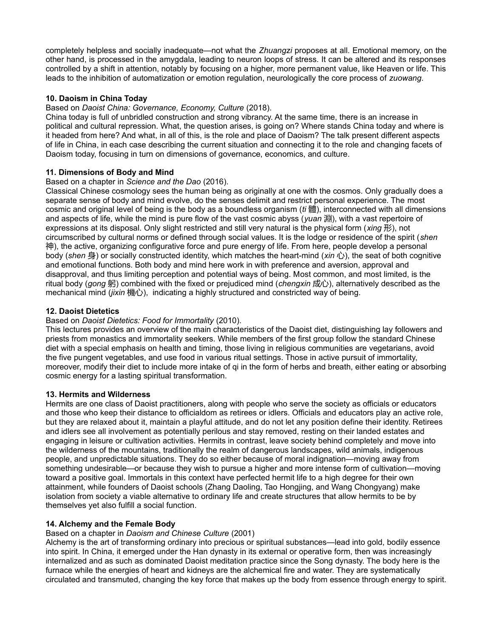completely helpless and socially inadequate—not what the *Zhuangzi* proposes at all. Emotional memory, on the other hand, is processed in the amygdala, leading to neuron loops of stress. It can be altered and its responses controlled by a shift in attention, notably by focusing on a higher, more permanent value, like Heaven or life. This leads to the inhibition of automatization or emotion regulation, neurologically the core process of *zuowang*.

# **10. Daoism in China Today**

# Based on *Daoist China: Governance, Economy, Culture* (2018).

China today is full of unbridled construction and strong vibrancy. At the same time, there is an increase in political and cultural repression. What, the question arises, is going on? Where stands China today and where is it headed from here? And what, in all of this, is the role and place of Daoism? The talk present different aspects of life in China, in each case describing the current situation and connecting it to the role and changing facets of Daoism today, focusing in turn on dimensions of governance, economics, and culture.

# **11. Dimensions of Body and Mind**

# Based on a chapter in *Science and the Dao* (2016).

Classical Chinese cosmology sees the human being as originally at one with the cosmos. Only gradually does a separate sense of body and mind evolve, do the senses delimit and restrict personal experience. The most cosmic and original level of being is the body as a boundless organism (*ti* 體), interconnected with all dimensions and aspects of life, while the mind is pure flow of the vast cosmic abyss (*yuan* 淵), with a vast repertoire of expressions at its disposal. Only slight restricted and still very natural is the physical form (*xing* 形), not circumscribed by cultural norms or defined through social values. It is the lodge or residence of the spirit (*shen* 神), the active, organizing configurative force and pure energy of life. From here, people develop a personal body (*shen* 身) or socially constructed identity, which matches the heart-mind (*xin* 心), the seat of both cognitive and emotional functions. Both body and mind here work in with preference and aversion, approval and disapproval, and thus limiting perception and potential ways of being. Most common, and most limited, is the ritual body (gong 躬) combined with the fixed or prejudiced mind (*chengxin* 成心), alternatively described as the mechanical mind (*jixin* 機心), indicating a highly structured and constricted way of being.

# **12. Daoist Dietetics**

# Based on *Daoist Dietetics: Food for Immortality* (2010).

This lectures provides an overview of the main characteristics of the Daoist diet, distinguishing lay followers and priests from monastics and immortality seekers. While members of the first group follow the standard Chinese diet with a special emphasis on health and timing, those living in religious communities are vegetarians, avoid the five pungent vegetables, and use food in various ritual settings. Those in active pursuit of immortality, moreover, modify their diet to include more intake of qi in the form of herbs and breath, either eating or absorbing cosmic energy for a lasting spiritual transformation.

# **13. Hermits and Wilderness**

Hermits are one class of Daoist practitioners, along with people who serve the society as officials or educators and those who keep their distance to officialdom as retirees or idlers. Officials and educators play an active role, but they are relaxed about it, maintain a playful attitude, and do not let any position define their identity. Retirees and idlers see all involvement as potentially perilous and stay removed, resting on their landed estates and engaging in leisure or cultivation activities. Hermits in contrast, leave society behind completely and move into the wilderness of the mountains, traditionally the realm of dangerous landscapes, wild animals, indigenous people, and unpredictable situations. They do so either because of moral indignation—moving away from something undesirable—or because they wish to pursue a higher and more intense form of cultivation—moving toward a positive goal. Immortals in this context have perfected hermit life to a high degree for their own attainment, while founders of Daoist schools (Zhang Daoling, Tao Hongjing, and Wang Chongyang) make isolation from society a viable alternative to ordinary life and create structures that allow hermits to be by themselves yet also fulfill a social function.

# **14. Alchemy and the Female Body**

# Based on a chapter in *Daoism and Chinese Culture* (2001)

Alchemy is the art of transforming ordinary into precious or spiritual substances—lead into gold, bodily essence into spirit. In China, it emerged under the Han dynasty in its external or operative form, then was increasingly internalized and as such as dominated Daoist meditation practice since the Song dynasty. The body here is the furnace while the energies of heart and kidneys are the alchemical fire and water. They are systematically circulated and transmuted, changing the key force that makes up the body from essence through energy to spirit.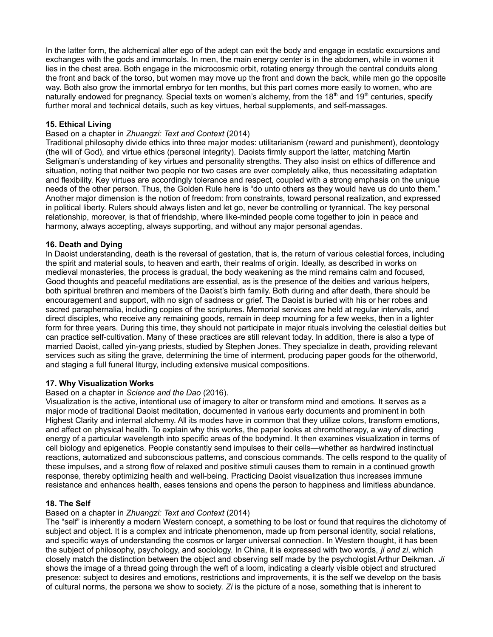In the latter form, the alchemical alter ego of the adept can exit the body and engage in ecstatic excursions and exchanges with the gods and immortals. In men, the main energy center is in the abdomen, while in women it lies in the chest area. Both engage in the microcosmic orbit, rotating energy through the central conduits along the front and back of the torso, but women may move up the front and down the back, while men go the opposite way. Both also grow the immortal embryo for ten months, but this part comes more easily to women, who are naturally endowed for pregnancy. Special texts on women's alchemy, from the  $18<sup>th</sup>$  and  $19<sup>th</sup>$  centuries, specify further moral and technical details, such as key virtues, herbal supplements, and self-massages.

# **15. Ethical Living**

# Based on a chapter in *Zhuangzi: Text and Context* (2014)

Traditional philosophy divide ethics into three major modes: utilitarianism (reward and punishment), deontology (the will of God), and virtue ethics (personal integrity). Daoists firmly support the latter, matching Martin Seligman's understanding of key virtues and personality strengths. They also insist on ethics of difference and situation, noting that neither two people nor two cases are ever completely alike, thus necessitating adaptation and flexibility. Key virtues are accordingly tolerance and respect, coupled with a strong emphasis on the unique needs of the other person. Thus, the Golden Rule here is "do unto others as they would have us do unto them." Another major dimension is the notion of freedom: from constraints, toward personal realization, and expressed in political liberty. Rulers should always listen and let go, never be controlling or tyrannical. The key personal relationship, moreover, is that of friendship, where like-minded people come together to join in peace and harmony, always accepting, always supporting, and without any major personal agendas.

# **16. Death and Dying**

In Daoist understanding, death is the reversal of gestation, that is, the return of various celestial forces, including the spirit and material souls, to heaven and earth, their realms of origin. Ideally, as described in works on medieval monasteries, the process is gradual, the body weakening as the mind remains calm and focused, Good thoughts and peaceful meditations are essential, as is the presence of the deities and various helpers, both spiritual brethren and members of the Daoist's birth family. Both during and after death, there should be encouragement and support, with no sign of sadness or grief. The Daoist is buried with his or her robes and sacred paraphernalia, including copies of the scriptures. Memorial services are held at regular intervals, and direct disciples, who receive any remaining goods, remain in deep mourning for a few weeks, then in a lighter form for three years. During this time, they should not participate in major rituals involving the celestial deities but can practice self-cultivation. Many of these practices are still relevant today. In addition, there is also a type of married Daoist, called yin-yang priests, studied by Stephen Jones. They specialize in death, providing relevant services such as siting the grave, determining the time of interment, producing paper goods for the otherworld, and staging a full funeral liturgy, including extensive musical compositions.

# **17. Why Visualization Works**

#### Based on a chapter in *Science and the Dao* (2016).

Visualization is the active, intentional use of imagery to alter or transform mind and emotions. It serves as a major mode of traditional Daoist meditation, documented in various early documents and prominent in both Highest Clarity and internal alchemy. All its modes have in common that they utilize colors, transform emotions, and affect on physical health. To explain why this works, the paper looks at chromotherapy, a way of directing energy of a particular wavelength into specific areas of the bodymind. It then examines visualization in terms of cell biology and epigenetics. People constantly send impulses to their cells—whether as hardwired instinctual reactions, automatized and subconscious patterns, and conscious commands. The cells respond to the quality of these impulses, and a strong flow of relaxed and positive stimuli causes them to remain in a continued growth response, thereby optimizing health and well-being. Practicing Daoist visualization thus increases immune resistance and enhances health, eases tensions and opens the person to happiness and limitless abundance.

# **18. The Self**

# Based on a chapter in *Zhuangzi: Text and Context* (2014)

The "self" is inherently a modern Western concept, a something to be lost or found that requires the dichotomy of subject and object. It is a complex and intricate phenomenon, made up from personal identity, social relations, and specific ways of understanding the cosmos or larger universal connection. In Western thought, it has been the subject of philosophy, psychology, and sociology. In China, it is expressed with two words, *ji and zi*, which closely match the distinction between the object and observing self made by the psychologist Arthur Deikman. *Ji*  shows the image of a thread going through the weft of a loom, indicating a clearly visible object and structured presence: subject to desires and emotions, restrictions and improvements, it is the self we develop on the basis of cultural norms, the persona we show to society. *Zi* is the picture of a nose, something that is inherent to